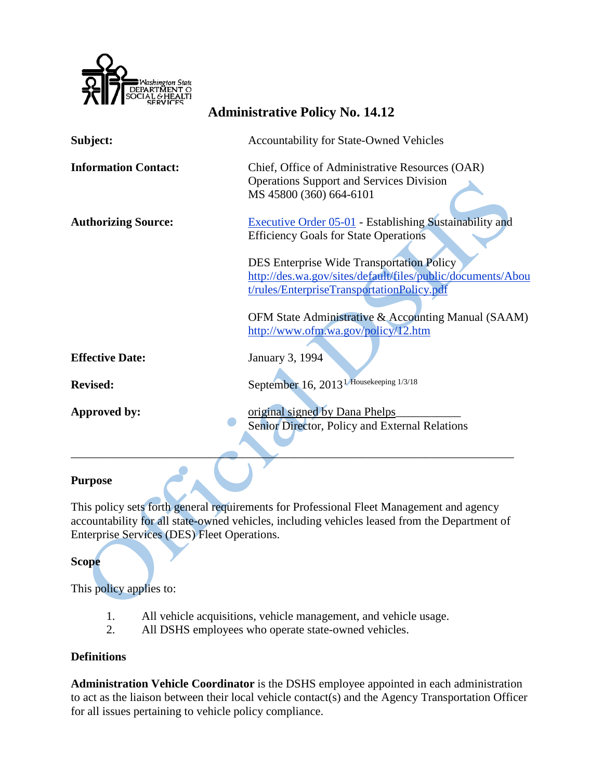

| Subject:                    | <b>Accountability for State-Owned Vehicles</b>              |
|-----------------------------|-------------------------------------------------------------|
| <b>Information Contact:</b> | Chief, Office of Administrative Resources (OAR)             |
|                             | <b>Operations Support and Services Division</b>             |
|                             | MS 45800 (360) 664-6101                                     |
| <b>Authorizing Source:</b>  | Executive Order 05-01 - Establishing Sustainability and     |
|                             | <b>Efficiency Goals for State Operations</b>                |
|                             |                                                             |
|                             | <b>DES Enterprise Wide Transportation Policy</b>            |
|                             | http://des.wa.gov/sites/default/files/public/documents/Abou |
|                             | t/rules/EnterpriseTransportationPolicy.pdf                  |
|                             | OFM State Administrative & Accounting Manual (SAAM)         |
|                             | http://www.ofm.wa.gov/policy/12.htm                         |
|                             |                                                             |
| <b>Effective Date:</b>      | January 3, 1994                                             |
| <b>Revised:</b>             | September 16, 2013 <sup>1</sup> Housekeeping 1/3/18         |
|                             |                                                             |
| <b>Approved by:</b>         | original signed by Dana Phelps                              |
|                             | Senior Director, Policy and External Relations              |
|                             |                                                             |
|                             |                                                             |

**Administrative Policy No. 14.12**

#### **Purpose**

This policy sets forth general requirements for Professional Fleet Management and agency accountability for all state-owned vehicles, including vehicles leased from the Department of Enterprise Services (DES) Fleet Operations.

**Scope**

This policy applies to:

- 1. All vehicle acquisitions, vehicle management, and vehicle usage.
- 2. All DSHS employees who operate state-owned vehicles.

### **Definitions**

**Administration Vehicle Coordinator** is the DSHS employee appointed in each administration to act as the liaison between their local vehicle contact(s) and the Agency Transportation Officer for all issues pertaining to vehicle policy compliance.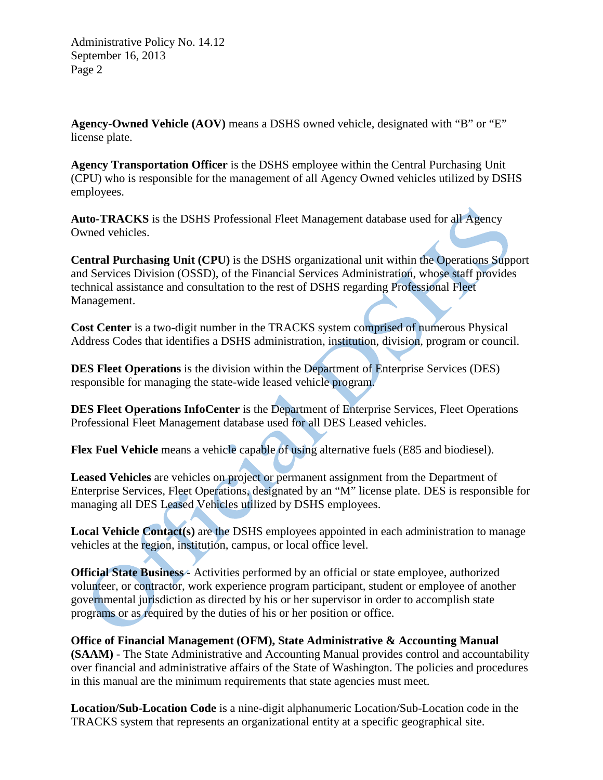**Agency-Owned Vehicle (AOV)** means a DSHS owned vehicle, designated with "B" or "E" license plate.

**Agency Transportation Officer** is the DSHS employee within the Central Purchasing Unit (CPU) who is responsible for the management of all Agency Owned vehicles utilized by DSHS employees.

**Auto-TRACKS** is the DSHS Professional Fleet Management database used for all Agency Owned vehicles.

**Central Purchasing Unit (CPU)** is the DSHS organizational unit within the Operations Support and Services Division (OSSD), of the Financial Services Administration, whose staff provides technical assistance and consultation to the rest of DSHS regarding Professional Fleet Management.

**Cost Center** is a two-digit number in the TRACKS system comprised of numerous Physical Address Codes that identifies a DSHS administration, institution, division, program or council.

**DES Fleet Operations** is the division within the Department of Enterprise Services (DES) responsible for managing the state-wide leased vehicle program.

**DES Fleet Operations InfoCenter** is the Department of Enterprise Services, Fleet Operations Professional Fleet Management database used for all DES Leased vehicles.

**Flex Fuel Vehicle** means a vehicle capable of using alternative fuels (E85 and biodiesel).

**Leased Vehicles** are vehicles on project or permanent assignment from the Department of Enterprise Services, Fleet Operations, designated by an "M" license plate. DES is responsible for managing all DES Leased Vehicles utilized by DSHS employees.

**Local Vehicle Contact(s)** are the DSHS employees appointed in each administration to manage vehicles at the region, institution, campus, or local office level.

**Official State Business** - Activities performed by an official or state employee, authorized volunteer, or contractor, work experience program participant, student or employee of another governmental jurisdiction as directed by his or her supervisor in order to accomplish state programs or as required by the duties of his or her position or office.

**Office of Financial Management (OFM), State Administrative & Accounting Manual (SAAM)** - The State Administrative and Accounting Manual provides control and accountability over financial and administrative affairs of the State of Washington. The policies and procedures in this manual are the minimum requirements that state agencies must meet.

**Location/Sub-Location Code** is a nine-digit alphanumeric Location/Sub-Location code in the TRACKS system that represents an organizational entity at a specific geographical site.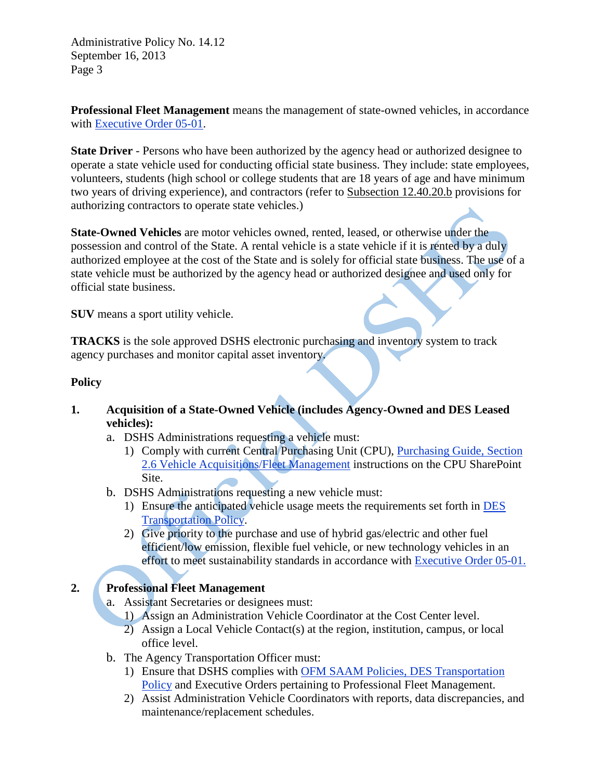**Professional Fleet Management** means the management of state-owned vehicles, in accordance with [Executive Order 05-01.](http://www.governor.wa.gov/office/execorders/eoarchive/eo_05-01.pdf)

**State Driver** - Persons who have been authorized by the agency head or authorized designee to operate a state vehicle used for conducting official state business. They include: state employees, volunteers, students (high school or college students that are 18 years of age and have minimum two years of driving experience), and contractors (refer to [Subsection 12.40.20.b](http://www.ofm.wa.gov/policy/12.40.htm#12.40.20) provisions for authorizing contractors to operate state vehicles.)

**State-Owned Vehicles** are motor vehicles owned, rented, leased, or otherwise under the possession and control of the State. A rental vehicle is a state vehicle if it is rented by a duly authorized employee at the cost of the State and is solely for official state business. The use of a state vehicle must be authorized by the agency head or authorized designee and used only for official state business.

**SUV** means a sport utility vehicle.

**TRACKS** is the sole approved DSHS electronic purchasing and inventory system to track agency purchases and monitor capital asset inventory.

#### **Policy**

- **1. Acquisition of a State-Owned Vehicle (includes Agency-Owned and DES Leased vehicles):**
	- a. DSHS Administrations requesting a vehicle must:
		- 1) Comply with current Central Purchasing Unit (CPU), [Purchasing Guide, Section](http://one.dshs.wa.lcl/FS/OSS/CPU/Purchasing/Guide/Pages/S2.06.aspx)  [2.6 Vehicle Acquisitions/Fleet Management](http://one.dshs.wa.lcl/FS/OSS/CPU/Purchasing/Guide/Pages/S2.06.aspx) instructions on the CPU SharePoint Site.
	- b. DSHS Administrations requesting a new vehicle must:
		- 1) Ensure the anticipated vehicle usage meets the requirements set forth in [DES](http://des.wa.gov/sites/default/files/public/documents/About/rules/EnterpriseTransportationPolicy.pdf)  [Transportation Policy.](http://des.wa.gov/sites/default/files/public/documents/About/rules/EnterpriseTransportationPolicy.pdf)
		- 2) Give priority to the purchase and use of hybrid gas/electric and other fuel efficient/low emission, flexible fuel vehicle, or new technology vehicles in an effort to meet sustainability standards in accordance with [Executive Order 05-01.](http://www.governor.wa.gov/office/execorders/eoarchive/eo_05-01.pdf)

## **2. Professional Fleet Management**

- a. Assistant Secretaries or designees must:
	- 1) Assign an Administration Vehicle Coordinator at the Cost Center level.
	- 2) Assign a Local Vehicle Contact(s) at the region, institution, campus, or local office level.
- b. The Agency Transportation Officer must:
	- 1) Ensure that DSHS complies with [OFM SAAM Policies,](http://www.ofm.wa.gov/policy/12.htm) [DES Transportation](http://des.wa.gov/sites/default/files/public/documents/About/rules/EnterpriseTransportationPolicy.pdf)  [Policy](http://des.wa.gov/sites/default/files/public/documents/About/rules/EnterpriseTransportationPolicy.pdf) and Executive Orders pertaining to Professional Fleet Management.
	- 2) Assist Administration Vehicle Coordinators with reports, data discrepancies, and maintenance/replacement schedules.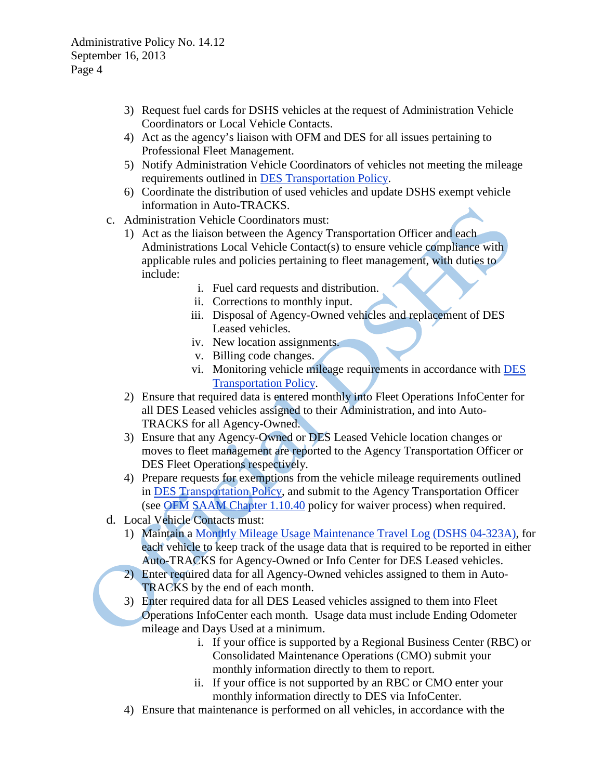- 3) Request fuel cards for DSHS vehicles at the request of Administration Vehicle Coordinators or Local Vehicle Contacts.
- 4) Act as the agency's liaison with OFM and DES for all issues pertaining to Professional Fleet Management.
- 5) Notify Administration Vehicle Coordinators of vehicles not meeting the mileage requirements outlined in [DES Transportation Policy.](http://des.wa.gov/sites/default/files/public/documents/About/rules/EnterpriseTransportationPolicy.pdf)
- 6) Coordinate the distribution of used vehicles and update DSHS exempt vehicle information in Auto**-**TRACKS.
- c. Administration Vehicle Coordinators must:
	- 1) Act as the liaison between the Agency Transportation Officer and each Administrations Local Vehicle Contact(s) to ensure vehicle compliance with applicable rules and policies pertaining to fleet management, with duties to include:
		- i. Fuel card requests and distribution.
		- ii. Corrections to monthly input.
		- iii. Disposal of Agency-Owned vehicles and replacement of DES Leased vehicles.
		- iv. New location assignments.
		- v. Billing code changes.
		- vi. Monitoring vehicle mileage requirements in accordance with [DES](http://des.wa.gov/sites/default/files/public/documents/About/rules/EnterpriseTransportationPolicy.pdf)  [Transportation Policy.](http://des.wa.gov/sites/default/files/public/documents/About/rules/EnterpriseTransportationPolicy.pdf)
	- 2) Ensure that required data is entered monthly into Fleet Operations InfoCenter for all DES Leased vehicles assigned to their Administration, and into Auto-TRACKS for all Agency-Owned.
	- 3) Ensure that any Agency-Owned or DES Leased Vehicle location changes or moves to fleet management are reported to the Agency Transportation Officer or DES Fleet Operations respectively.
	- 4) Prepare requests for exemptions from the vehicle mileage requirements outlined in [DES Transportation Policy,](http://des.wa.gov/sites/default/files/public/documents/About/rules/EnterpriseTransportationPolicy.pdf) and submit to the Agency Transportation Officer (see [OFM SAAM Chapter 1.10.40](http://www.ofm.wa.gov/policy/1.10.htm#1.10.40) policy for waiver process) when required.
- d. Local Vehicle Contacts must:
	- 1) Maintain a [Monthly Mileage Usage Maintenance Travel Log \(DSHS 04-323A\),](http://asd.dshs.wa.gov/FormsMan/formDetails.aspx?ID=178) for each vehicle to keep track of the usage data that is required to be reported in either Auto-TRACKS for Agency-Owned or Info Center for DES Leased vehicles.
	- 2) Enter required data for all Agency-Owned vehicles assigned to them in Auto-TRACKS by the end of each month.
	- 3) Enter required data for all DES Leased vehicles assigned to them into Fleet Operations InfoCenter each month. Usage data must include Ending Odometer mileage and Days Used at a minimum.
		- i. If your office is supported by a Regional Business Center (RBC) or Consolidated Maintenance Operations (CMO) submit your monthly information directly to them to report.
		- ii. If your office is not supported by an RBC or CMO enter your monthly information directly to DES via InfoCenter.
	- 4) Ensure that maintenance is performed on all vehicles, in accordance with the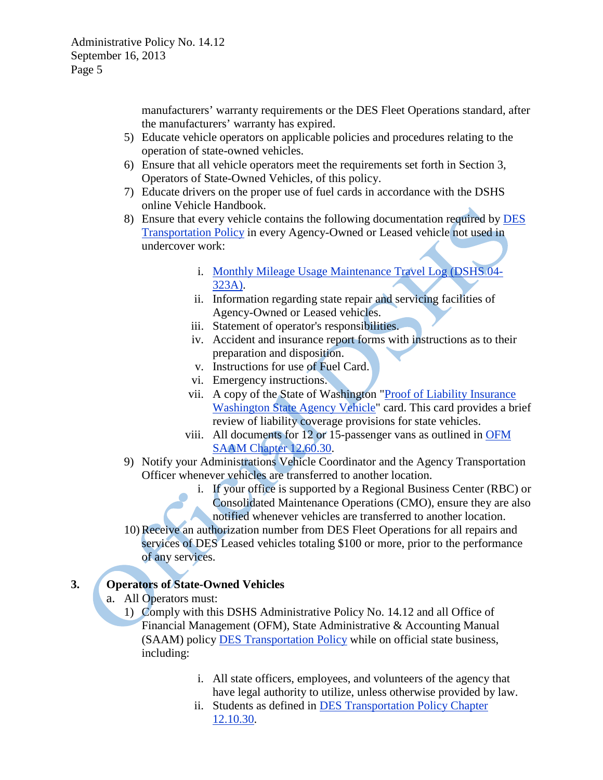manufacturers' warranty requirements or the DES Fleet Operations standard, after the manufacturers' warranty has expired.

- 5) Educate vehicle operators on applicable policies and procedures relating to the operation of state-owned vehicles.
- 6) Ensure that all vehicle operators meet the requirements set forth in Section 3, Operators of State-Owned Vehicles, of this policy.
- 7) Educate drivers on the proper use of fuel cards in accordance with the DSHS online Vehicle Handbook.
- 8) Ensure that every vehicle contains the following documentation required by [DES](http://des.wa.gov/sites/default/files/public/documents/About/rules/EnterpriseTransportationPolicy.pdf)  [Transportation Policy](http://des.wa.gov/sites/default/files/public/documents/About/rules/EnterpriseTransportationPolicy.pdf) in every Agency-Owned or Leased vehicle not used in undercover work:
	- i. [Monthly Mileage Usage Maintenance Travel Log \(DSHS 04-](http://asd.dshs.wa.gov/FormsMan/formDetails.aspx?ID=178) [323A\).](http://asd.dshs.wa.gov/FormsMan/formDetails.aspx?ID=178)
	- ii. Information regarding state repair and servicing facilities of Agency-Owned or Leased vehicles.
	- iii. Statement of operator's responsibilities.
	- iv. Accident and insurance report forms with instructions as to their preparation and disposition.
	- v. Instructions for use of Fuel Card.
	- vi. Emergency instructions.
	- vii. A copy of the State of Washington "Proof of Liability Insurance [Washington State Agency Vehicle"](http://des.wa.gov/SiteCollectionDocuments/RiskManagement/proofofins.pdf) card. This card provides a brief review of liability coverage provisions for state vehicles.
	- viii. All documents for 12 or 15-passenger vans as outlined in [OFM](http://www.ofm.wa.gov/policy/12.60.htm#12.60.30)  [SAAM Chapter 12.60.30.](http://www.ofm.wa.gov/policy/12.60.htm#12.60.30)
- 9) Notify your Administrations Vehicle Coordinator and the Agency Transportation Officer whenever vehicles are transferred to another location.
	- i. If your office is supported by a Regional Business Center (RBC) or Consolidated Maintenance Operations (CMO), ensure they are also notified whenever vehicles are transferred to another location.
- 10) Receive an authorization number from DES Fleet Operations for all repairs and services of DES Leased vehicles totaling \$100 or more, prior to the performance of any services.

## **3. Operators of State-Owned Vehicles**

- a. All Operators must:
	- 1) Comply with this DSHS Administrative Policy No. 14.12 and all Office of Financial Management (OFM), State Administrative & Accounting Manual (SAAM) policy [DES Transportation Policy](http://des.wa.gov/sites/default/files/public/documents/About/rules/EnterpriseTransportationPolicy.pdf) while on official state business, including:
		- i. All state officers, employees, and volunteers of the agency that have legal authority to utilize, unless otherwise provided by law.
		- ii. Students as defined in [DES Transportation Policy Chapter](http://des.wa.gov/sites/default/files/public/documents/About/rules/EnterpriseTransportationPolicy.pdf)  [12.10.30.](http://des.wa.gov/sites/default/files/public/documents/About/rules/EnterpriseTransportationPolicy.pdf)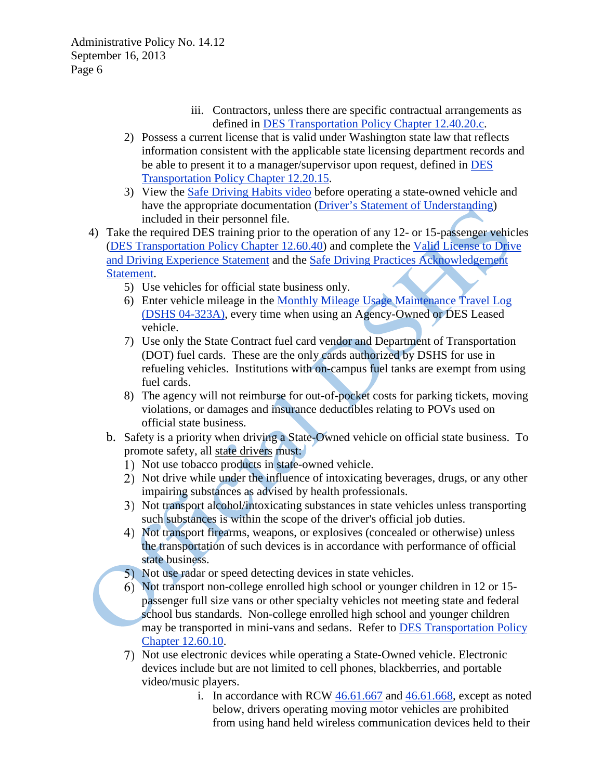- iii. Contractors, unless there are specific contractual arrangements as defined in [DES Transportation Policy Chapter 12.40.20.c.](http://des.wa.gov/sites/default/files/public/documents/About/rules/EnterpriseTransportationPolicy.pdf)
- 2) Possess a current license that is valid under Washington state law that reflects information consistent with the applicable state licensing department records and be able to present it to a manager/supervisor upon request, defined in [DES](http://des.wa.gov/sites/default/files/public/documents/About/rules/EnterpriseTransportationPolicy.pdf)  [Transportation Policy Chapter 12.20.15.](http://des.wa.gov/sites/default/files/public/documents/About/rules/EnterpriseTransportationPolicy.pdf)
- 3) View the [Safe Driving Habits video](http://www.youtube.com/watch?v=dBMXaKYwRKQ) before operating a state-owned vehicle and have the appropriate documentation [\(Driver's Statement of Understanding\)](http://asd.dshs.wa.gov/forms/wordforms/word/03_427.doc) included in their personnel file.
- 4) Take the required DES training prior to the operation of any 12- or 15-passenger vehicles [\(DES Transportation Policy Chapter 12.60.40\)](http://des.wa.gov/sites/default/files/public/documents/About/rules/EnterpriseTransportationPolicy.pdf) and complete the [Valid License to Drive](http://www.ofm.wa.gov/policy/LicDriv.pdf)  [and Driving Experience Statement](http://www.ofm.wa.gov/policy/LicDriv.pdf) and the [Safe Driving Practices Acknowledgement](http://www.ofm.wa.gov/policy/SafeDriv.pdf)  [Statement.](http://www.ofm.wa.gov/policy/SafeDriv.pdf)
	- 5) Use vehicles for official state business only.
	- 6) Enter vehicle mileage in the [Monthly Mileage Usage Maintenance Travel Log](http://asd.dshs.wa.gov/FormsMan/formDetails.aspx?ID=178)  [\(DSHS 04-323A\),](http://asd.dshs.wa.gov/FormsMan/formDetails.aspx?ID=178) every time when using an Agency-Owned or DES Leased vehicle.
	- 7) Use only the State Contract fuel card vendor and Department of Transportation (DOT) fuel cards. These are the only cards authorized by DSHS for use in refueling vehicles. Institutions with on-campus fuel tanks are exempt from using fuel cards.
	- 8) The agency will not reimburse for out-of-pocket costs for parking tickets, moving violations, or damages and insurance deductibles relating to POVs used on official state business.
	- b. Safety is a priority when driving a State-Owned vehicle on official state business. To promote safety, all [state drivers](http://www.ofm.wa.gov/policy/glossary.asp#stateDriver) must:
		- 1) Not use tobacco products in state-owned vehicle.
		- 2) Not drive while under the influence of intoxicating beverages, drugs, or any other impairing substances as advised by health professionals.
		- Not transport alcohol/intoxicating substances in state vehicles unless transporting such substances is within the scope of the driver's official job duties.
		- Not transport firearms, weapons, or explosives (concealed or otherwise) unless the transportation of such devices is in accordance with performance of official state business.
		- 5) Not use radar or speed detecting devices in state vehicles.
		- Not transport non-college enrolled high school or younger children in 12 or 15 passenger full size vans or other specialty vehicles not meeting state and federal school bus standards. Non-college enrolled high school and younger children may be transported in mini-vans and sedans. Refer to [DES Transportation Policy](http://des.wa.gov/sites/default/files/public/documents/About/rules/EnterpriseTransportationPolicy.pdf)  [Chapter 12.60.10.](http://des.wa.gov/sites/default/files/public/documents/About/rules/EnterpriseTransportationPolicy.pdf)
		- Not use electronic devices while operating a State-Owned vehicle. Electronic devices include but are not limited to cell phones, blackberries, and portable video/music players.
			- i. In accordance with RCW [46.61.667](http://apps.leg.wa.gov/rcw/default.aspx?cite=46.61.667) and [46.61.668,](http://apps.leg.wa.gov/rcw/default.aspx?cite=46.61.668) except as noted below, drivers operating moving motor vehicles are prohibited from using hand held wireless communication devices held to their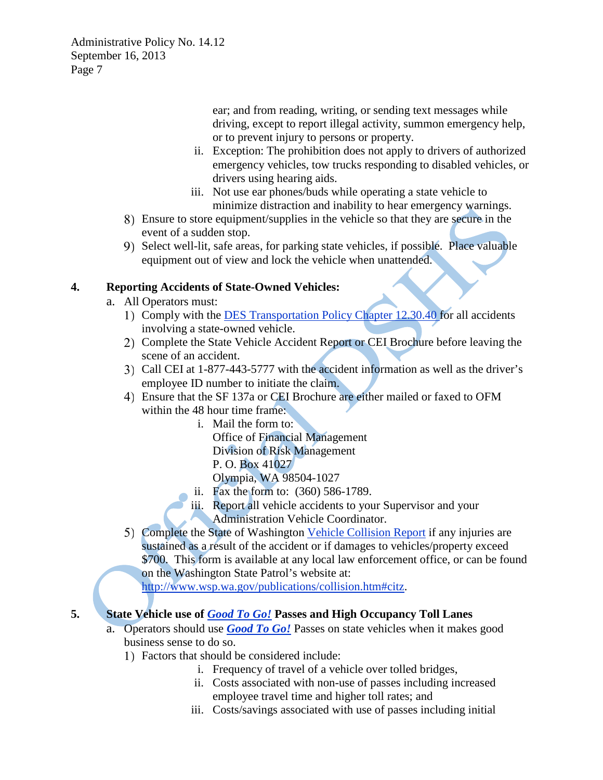> ear; and from reading, writing, or sending text messages while driving, except to report illegal activity, summon emergency help, or to prevent injury to persons or property.

- ii. Exception: The prohibition does not apply to drivers of authorized emergency vehicles, tow trucks responding to disabled vehicles, or drivers using hearing aids.
- iii. Not use ear phones/buds while operating a state vehicle to minimize distraction and inability to hear emergency warnings.
- Ensure to store equipment/supplies in the vehicle so that they are secure in the event of a sudden stop.
- 9) Select well-lit, safe areas, for parking state vehicles, if possible. Place valuable equipment out of view and lock the vehicle when unattended.

### **4. Reporting Accidents of State-Owned Vehicles:**

- a. All Operators must:
	- 1) Comply with the [DES Transportation Policy Chapter 12.30.40 f](http://des.wa.gov/sites/default/files/public/documents/About/rules/EnterpriseTransportationPolicy.pdf)or all accidents involving a state-owned vehicle.
	- 2) Complete the State Vehicle Accident Report or CEI Brochure before leaving the scene of an accident.
	- Call CEI at 1-877-443-5777 with the accident information as well as the driver's employee ID number to initiate the claim.
	- Ensure that the SF 137a or CEI Brochure are either mailed or faxed to OFM within the 48 hour time frame:
		- i. Mail the form to: Office of Financial Management Division of Risk Management P. O. Box 41027 Olympia, WA 98504-1027
		- ii. Fax the form to: (360) 586-1789.
		- iii. Report all vehicle accidents to your Supervisor and your Administration Vehicle Coordinator.
	- Complete the State of Washington [Vehicle Collision Report](http://www.wsp.wa.gov/publications/forms/345161_Civilian_Motor_Vehicle_Collision_Report_(empowered).pdf) if any injuries are sustained as a result of the accident or if damages to vehicles/property exceed \$700. This form is available at any local law enforcement office, or can be found on the Washington State Patrol's website at:

[http://www.wsp.wa.gov/publications/collision.htm#citz.](http://www.wsp.wa.gov/publications/collision.htm#citz)

# **5. State Vehicle use of** *[Good To Go!](http://www.wsdot.wa.gov/GoodToGo/default.htm)* **Passes and High Occupancy Toll Lanes**

- a. Operators should use *[Good To Go!](http://www.wsdot.wa.gov/GoodToGo/default.htm)* Passes on state vehicles when it makes good business sense to do so.
	- Factors that should be considered include:
		- i. Frequency of travel of a vehicle over tolled bridges,
		- ii. Costs associated with non-use of passes including increased employee travel time and higher toll rates; and
		- iii. Costs/savings associated with use of passes including initial